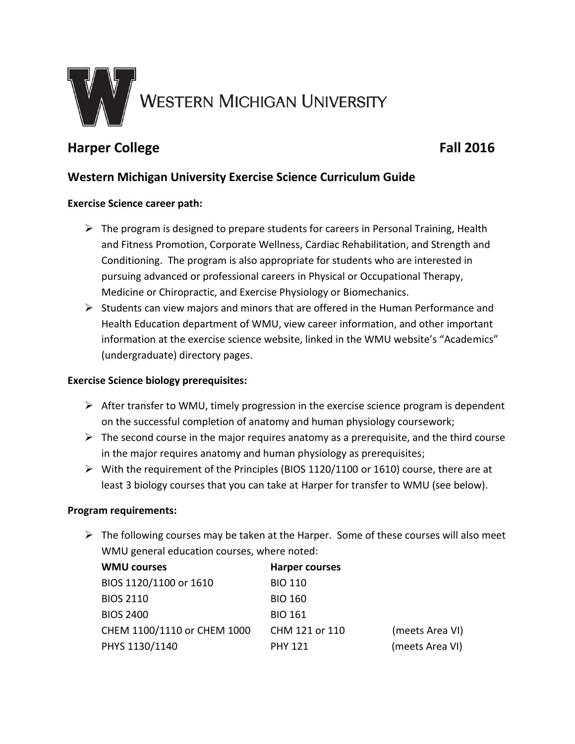

# **Harper College Fall 2016**

## **Western Michigan University Exercise Science Curriculum Guide**

#### **Exercise Science career path:**

- $\triangleright$  The program is designed to prepare students for careers in Personal Training, Health and Fitness Promotion, Corporate Wellness, Cardiac Rehabilitation, and Strength and Conditioning. The program is also appropriate for students who are interested in pursuing advanced or professional careers in Physical or Occupational Therapy, Medicine or Chiropractic, and Exercise Physiology or Biomechanics.
- $\triangleright$  Students can view majors and minors that are offered in the Human Performance and Health Education department of WMU, view career information, and other important information at the exercise science website, linked in the WMU website's "Academics" (undergraduate) directory pages.

#### **Exercise Science biology prerequisites:**

- $\triangleright$  After transfer to WMU, timely progression in the exercise science program is dependent on the successful completion of anatomy and human physiology coursework;
- $\triangleright$  The second course in the major requires anatomy as a prerequisite, and the third course in the major requires anatomy and human physiology as prerequisites;
- $\triangleright$  With the requirement of the Principles (BIOS 1120/1100 or 1610) course, there are at least 3 biology courses that you can take at Harper for transfer to WMU (see below).

#### **Program requirements:**

 $\triangleright$  The following courses may be taken at the Harper. Some of these courses will also meet WMU general education courses, where noted:

| <b>WMU courses</b>          | <b>Harper courses</b> |                 |
|-----------------------------|-----------------------|-----------------|
| BIOS 1120/1100 or 1610      | <b>BIO 110</b>        |                 |
| <b>BIOS 2110</b>            | <b>BIO 160</b>        |                 |
| <b>BIOS 2400</b>            | <b>BIO 161</b>        |                 |
| CHEM 1100/1110 or CHEM 1000 | CHM 121 or 110        | (meets Area VI) |
| PHYS 1130/1140              | <b>PHY 121</b>        | (meets Area VI) |